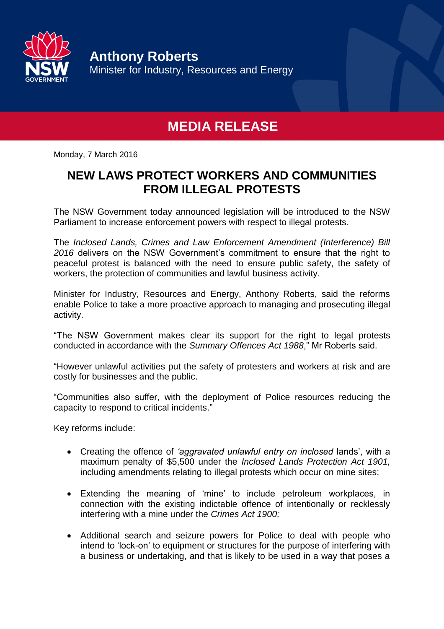

**Anthony Roberts** Minister for Industry, Resources and Energy

## **MEDIA RELEASE**

Monday, 7 March 2016

## **NEW LAWS PROTECT WORKERS AND COMMUNITIES FROM ILLEGAL PROTESTS**

The NSW Government today announced legislation will be introduced to the NSW Parliament to increase enforcement powers with respect to illegal protests.

The *Inclosed Lands, Crimes and Law Enforcement Amendment (Interference) Bill 2016* delivers on the NSW Government's commitment to ensure that the right to peaceful protest is balanced with the need to ensure public safety, the safety of workers, the protection of communities and lawful business activity.

Minister for Industry, Resources and Energy, Anthony Roberts, said the reforms enable Police to take a more proactive approach to managing and prosecuting illegal activity.

"The NSW Government makes clear its support for the right to legal protests conducted in accordance with the *Summary Offences Act 1988*," Mr Roberts said.

"However unlawful activities put the safety of protesters and workers at risk and are costly for businesses and the public.

"Communities also suffer, with the deployment of Police resources reducing the capacity to respond to critical incidents."

Key reforms include:

- Creating the offence of *'aggravated unlawful entry on inclosed* lands', with a maximum penalty of \$5,500 under the *Inclosed Lands Protection Act 1901,*  including amendments relating to illegal protests which occur on mine sites;
- Extending the meaning of 'mine' to include petroleum workplaces, in connection with the existing indictable offence of intentionally or recklessly interfering with a mine under the *Crimes Act 1900;*
- Additional search and seizure powers for Police to deal with people who intend to 'lock-on' to equipment or structures for the purpose of interfering with a business or undertaking, and that is likely to be used in a way that poses a